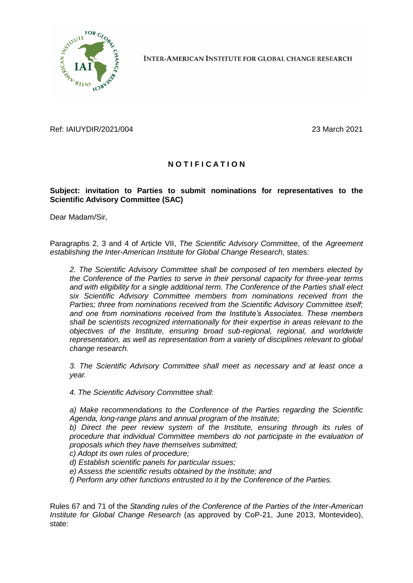

**INTER-AMERICAN INSTITUTE FOR GLOBAL CHANGE RESEARCH** 

Ref: IAIUYDIR/2021/004 23 March 2021

## **N O T I F I C A T I O N**

## **Subject: invitation to Parties to submit nominations for representatives to the Scientific Advisory Committee (SAC)**

Dear Madam/Sir,

Paragraphs 2, 3 and 4 of Article VII, *The Scientific Advisory Committee*, of the *Agreement establishing the Inter-American Institute for Global Change Research*, states:

*2. The Scientific Advisory Committee shall be composed of ten members elected by the Conference of the Parties to serve in their personal capacity for three-year terms and with eligibility for a single additional term. The Conference of the Parties shall elect six Scientific Advisory Committee members from nominations received from the Parties; three from nominations received from the Scientific Advisory Committee itself; and one from nominations received from the Institute's Associates. These members shall be scientists recognized internationally for their expertise in areas relevant to the objectives of the Institute, ensuring broad sub-regional, regional, and worldwide representation, as well as representation from a variety of disciplines relevant to global change research.*

*3. The Scientific Advisory Committee shall meet as necessary and at least once a year.*

*4. The Scientific Advisory Committee shall:*

*a) Make recommendations to the Conference of the Parties regarding the Scientific Agenda, long-range plans and annual program of the Institute;*

*b) Direct the peer review system of the Institute, ensuring through its rules of procedure that individual Committee members do not participate in the evaluation of proposals which they have themselves submitted;*

*c) Adopt its own rules of procedure;*

- *d) Establish scientific panels for particular issues;*
- *e) Assess the scientific results obtained by the Institute; and*
- *f) Perform any other functions entrusted to it by the Conference of the Parties.*

Rules 67 and 71 of the *Standing rules of the Conference of the Parties of the Inter-American Institute for Global Change Research* (as approved by CoP-21, June 2013, Montevideo), state: